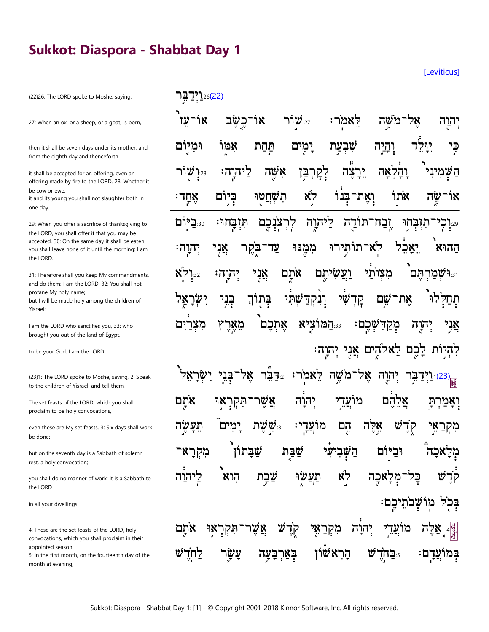## **Sukkot: Diaspora - Shabbat Day 1**

 $7.26(22)$ 

[Leviticus]

(22)26: The LORD spoke to Moshe, saying,

27: When an ox, or a sheep, or a goat, is born,

then it shall be seven days under its mother; and from the eighth day and thenceforth

it shall be accepted for an offering, even an offering made by fire to the LORD. 28: Whether it be cow or ewe.

it and its young you shall not slaughter both in one day.

29: When you offer a sacrifice of thanksgiving to the LORD, you shall offer it that you may be accepted. 30: On the same day it shall be eaten; you shall leave none of it until the morning: I am the LORD.

31: Therefore shall you keep My commandments, and do them: I am the LORD. 32: You shall not profane My holy name; but I will be made holy among the children of Yisrael:

I am the LORD who sanctifies you, 33: who brought you out of the land of Egypt,

to be your God: I am the LORD.

(23)1: The LORD spoke to Moshe, saying, 2: Speak to the children of Yisrael, and tell them,

The set feasts of the LORD, which you shall proclaim to be holy convocations,

even these are My set feasts. 3: Six days shall work be done:

but on the seventh day is a Sabbath of solemn rest, a holy convocation;

you shall do no manner of work: it is a Sabbath to the LORD

in all your dwellings.

4: These are the set feasts of the LORD, holy convocations, which you shall proclaim in their appointed season.

5: In the first month, on the fourteenth day of the month at evening,

|  |  | יְהוֶה אָל־מֹשֶׁה לֵאמֹר: זּ <sup>יַ</sup> שׁוֹר אוֹ־כֶשֶׂב אוֹ־עֵז <sup>י</sup>                         |  |
|--|--|----------------------------------------------------------------------------------------------------------|--|
|  |  | בִּי יִיָּלֵּד וְהָיֶה שִׁבְעַת יָמָים תַּחַת אִמְוֹ וּמִיּּוֹם                                          |  |
|  |  | הַשְּׁמִינִי וָהָלְאָה יֵרָצֶה לְקְרְבַּן אִשֶּׁה לַיהוֶה: <sub>28.</sub> וְשָׁוֹר                       |  |
|  |  | אוֹ־שֶׂה אֹתְוֹ וְאֶת־בְּנוֹ לִא תִשְׁחֲטַוּ בְּיָוֹם אֶחְדִי                                            |  |
|  |  | יּיִנְכְי־תִזְבְּחִוּ יֶבַח־תּוֹדֻה לַיהוֶה לְרְצֹנְכֶם תִּזְבְּחוּ: ‱בַיֶּוֹם                           |  |
|  |  | הַהוּא יֵאָבֵ֫ל לְאִ־תוֹתְיִרוּ מִמֶּֽנּוּ עַד־בֵּקֶר אֲנָי יְהַיְהִ׃                                    |  |
|  |  | <sup>וצּוּ</sup> מִצְרָתֶּם מִצְוֹתֵי וַעֲשִׂיתֶם אֹתֲם אֲנָי יְהוֶה <del>: צּו</del> ֶלְא               |  |
|  |  | ֿ הַבִּיַ יִּשְׂרָאֶל (הָקִדַּשְׁתִּי בְּתֻוֹךָ בְּבִי יִשְׂרָאֶל                                        |  |
|  |  | אֲ <i>נָי יְ</i> הַוֶּה מְקַדִּשְׁכֶם: יַּהַמּוֹצְיָא אֶתְכֶם מֵאֶרֶץ מִצְרַיִם                          |  |
|  |  | לִהְיָוֹת לָכֶם לֵאלֹהֶים אֲנָי יְהִיְה                                                                  |  |
|  |  | <u> קּוֹיִ</u> דַבְּר יְהוֶה אֶל־מֹשֶׁה לֵאמֹר: <sub>22</sub> בֵּבִי יִשְׂרָאֵל <sup>י</sup>             |  |
|  |  | וָאָמַרְתָּ אֲלֵהֶם מוֹעֲדֵי יְה <i>ַ</i> וֹה אֲשֶׁר־תִּקְרָא <sub>ָ</sub> וּ אֹתֶם                      |  |
|  |  | מִקְרָ <mark>א</mark> ָי קֶדֶשׁ אָ <i>ּ</i> ּאֶלֶה הֶם מוֹעֲדָי: <sub>צ</sub> ּּשָׁשָׁת יָמִים תֵּעֲשֶׂה |  |
|  |  | מְלָאכָה <sup>ֹ</sup> וּבַי <sub>ּ</sub> וֹם הַשָּׁבִיעִי שַׁבַּּת שַׁבָּתוֹן מִקְרָא־                   |  |

לא אַכַה הוא בַּל־ שו בְּכֹל מוֹשָׁבֹתֵיכֶם: הוה מוי

הרא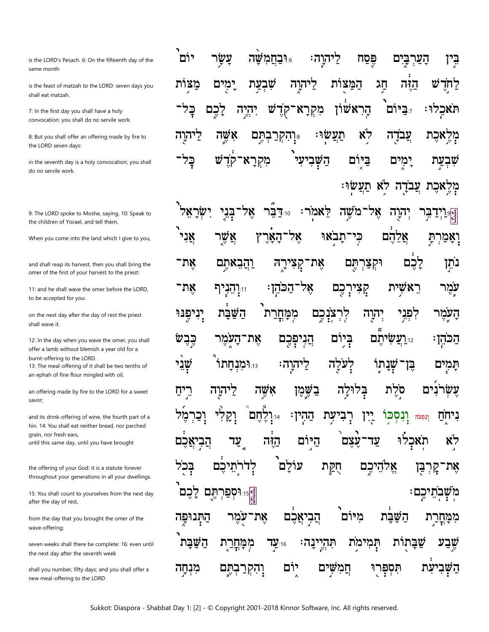is the LORD's Pesach. 6: On the fifteenth day of the same month

is the feast of matzah to the LORD: seven days you shall eat matzah.

7: In the first day you shall have a holy convocation: you shall do no servile work.

8: But you shall offer an offering made by fire to the LORD seven days:

in the seventh day is a holy convocation; you shall do no servile work.

9: The LORD spoke to Moshe, saying, 10: Speak to the children of Yisrael, and tell them.

When you come into the land which I give to you,

and shall reap its harvest, then you shall bring the omer of the first of your harvest to the priest:

11: and he shall wave the omer before the LORD, to be accepted for you:

on the next day after the day of rest the priest shall wave it.

12: In the day when you wave the omer, you shall offer a lamb without blemish a year old for a burnt-offering to the LORD.

13: The meal-offering of it shall be two tenths of an ephah of fine flour mingled with oil,

an offering made by fire to the LORD for a sweet savor;

and its drink-offering of wine, the fourth part of a hin. 14: You shall eat neither bread, nor parched grain, nor fresh ears. until this same day, until you have brought

the offering of your God: it is a statute forever throughout your generations in all your dwellings.

15: You shall count to yourselves from the next day after the day of rest,

from the day that you brought the omer of the wave-offering;

seven weeks shall there be complete: 16: even until the next day after the seventh week

shall you number, fifty days; and you shall offer a new meal-offering to the LORD.

יוֹם עַשַׂו **וּבחמשה** פֶּסַח הָעַרְבָּיִם ריהוַה: ְבֵּין מצות ימים שבעת המצות W ליהוה חג הזה דחד כל־ הראשׁון <u>קדש '</u> תֵלום יהיה מִקְרָא־ תאכלו: <u>קכם</u> לא ליהוה אשה תם תעשוּ עבדה ב מלאכת רהקר. בָל־ Ŵ מִקְרַא־קֹד השביעי ביום יִמְיִם שִׁבְעַת לֹא תַעֲשׂוּ ה' מלאכת עבד

ישראל אל־משה ֹאֵל לֵאמֹר: בני דבר $r_{:10}$ הָוָה אֲני אשר Ÿ אל ֿתבאי כי אלהם ־האר ואמרת וַהֲבָאתֵם **ַקְצִירָה** וּקִצַּרִתֶּם לכם את־ אֵת־ נתַן ֿאַל ראשית קִצִירְכֵם את־ <sub>11:</sub>וְהֶנְיִךְ ־הכהן: עמר יִנְיִתֶּנּוּ מִמַּחֲרַת יהוה צנכם השבת לר לִפְּנֵי העמו **ְהַגִיפְּבֵם** ביום כבשׂ י**ועשיתם** את־העמר הכהן: שׁני ו**ּוּמּנחתוֹ**: לעלה ליהוה: שׁנתוֹ ⊊ן תמים בְשֵׁמֵן אשה סֹלת נים עשׂר ריח ליהוה בלוּלַה וְקֵלִי וֹיָנְלֶחָם וִנְסְכּוֹ וכר ּהַהִין עת ניחח וְנִסְכֹּה לוּ <u>הַבְיאֲכֵם</u> היום לא עַד הזה עצם עד תאכ עוֹלם בכל לדרתי ם חִקַּת אלהיכם את 互つに <sub>ְ</sub><br><sup>אֲ</sup>ןּיּנִימַפּרְתֶּם לָכֶם מִשְׁבְתֵיכֶם:<br>. עמר הַתְּנוּפַה את־ הֵבִיאֲכֵם מיום השבת מִמְּחֲרַת שֶׁבַע השבת תְּהִי שבתות מִמַּחֲרַת 16:**עַד** ּינַהי תמימת חֲמִשִׁים השׁבי יום מִנִחָה <u>נׁיֵאֵרְבָתֶּם</u> תִּפְכְּרוּ עת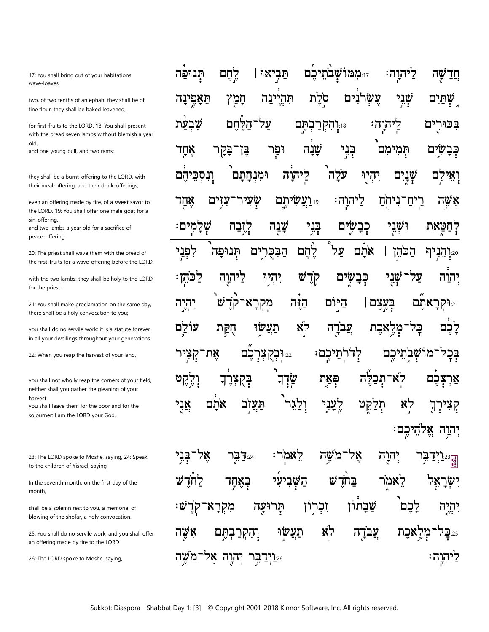17: You shall bring out of your habitations wave-loaves,

two, of two tenths of an ephah: they shall be of fine flour, they shall be baked leavened,

for first-fruits to the LORD. 18: You shall present with the bread seven lambs without blemish a year blo and one young bull, and two rams:

they shall be a burnt-offering to the LORD, with their meal-offering, and their drink-offerings,

even an offering made by fire, of a sweet savor to the LORD. 19: You shall offer one male goat for a sin-offerina.

and two lambs a year old for a sacrifice of peace-offering.

20: The priest shall wave them with the bread of the first-fruits for a wave-offering before the LORD,

with the two lambs: they shall be holy to the LORD for the priest.

21: You shall make proclamation on the same day, there shall be a holy convocation to you;

you shall do no servile work: it is a statute forever in all your dwellings throughout your generations.

22: When you reap the harvest of your land,

you shall not wholly reap the corners of your field, neither shall you gather the gleaning of your harvest

you shall leave them for the poor and for the sojourner: I am the LORD your God.

23: The LORD spoke to Moshe, saying, 24: Speak to the children of Yisrael, saying,

In the seventh month, on the first day of the month,

shall be a solemn rest to you, a memorial of blowing of the shofar, a holy convocation.

25: You shall do no servile work; and you shall offer an offering made by fire to the LORD.

26: The LORD spoke to Moshe, saying,

**ממושבתיבם** תביאוּ | תנופה לחם ליהוה: שה חד עשׂרנים שְׁנִי שְׁתַיִם תְּהִיִינָה סלת תִּאֲפֵינַה חַמֵּץ שׁבעת על־הלחם י**ּיִיְהִקְרַבְהֵם** ּיהוַה 7 בכורים שָׁנָה בְּנִי כִּבַשׁים אחד וּפר תמימם יַבְּ⊺ ַבַּקַר עלה יִהְיְי ומנחתם ליהוה שׁנים ונסכיהם לם שעיר יו**ַעֲשִׂיתִם** ליהוה: רֵיחַ אשה אחד עזים ניחח שָׁלָמִים: בְּנִי שַׁנָה דחטאת קזבח כבשים ושני ثرثاط על לפני תנופה הבכרים אתם הכהן 20 הַבְרֹךְ קְדָשׁ לכהן: יִהְיוּ כְּבָשִׂים על ליהוה שני יהוה יִהְיָה מִקְרַא־ Ŵ קדֿ הזה היום בעצם | 21:**וּקְרַאתם** תעשו לא צֵבֹדַה עולם הִקַּת אכת פַל <u>מַל</u> לכם כם את־ שבתי קִצְיר 22.**וּבִקְצָר**ָ יִדרתֵיכֵם כם מו פְּאַת לא־תכלה שׁד וְרֻקִט צכם הָקִצְרֶךְ אר לֶעֲנִי אתם תִלַקֵּט לא תעזב ולגו אני קִצִירְךָ יִהוָה אֱלהֵיכֵם

בַּנִי אל לאמר: אל־משה ית⊑ר≌ יִהרַה בַּחֹדָשׁ לֵאמֹר הַשָּׁבִיעִי בַּאֲחֲד ישר תְּרוּעַה **ַזִכְרוֹן** שבתון מִקְרַא לכם ∶₩ ַיִּהְיָה לא תעשו עבדה 'N <u>ֿנִהְקְרַבְהֵם</u> מְרֶארֶת שה 2ה⊊7 26**ּוֹיְדַבִּר יְהוָה אֶל־מֹשֶׁה** ַיִּהְוָה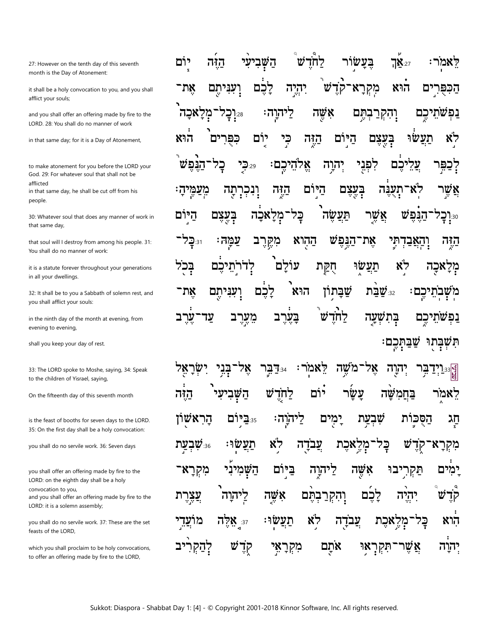27: However on the tenth day of this seventh month is the Day of Atonement:

it shall be a holy convocation to you, and you shall afflict your souls;

and you shall offer an offering made by fire to the LORD. 28: You shall do no manner of work

in that same day; for it is a Day of Atonement,

to make atonement for you before the LORD your God. 29: For whatever soul that shall not be afflicted in that same day, he shall be cut off from his people.

30: Whatever soul that does any manner of work in that same day,

that soul will I destroy from among his people. 31: You shall do no manner of work:

it is a statute forever throughout your generations in all your dwellings.

32: It shall be to you a Sabbath of solemn rest, and you shall afflict your souls:

in the ninth day of the month at evening, from evening to evening,

shall you keep your day of rest.

33: The LORD spoke to Moshe, saying, 34: Speak to the children of Yisrael, saying,

On the fifteenth day of this seventh month

is the feast of booths for seven days to the LORD. 35: On the first day shall be a holy convocation:

you shall do no servile work. 36: Seven days

you shall offer an offering made by fire to the LORD: on the eighth day shall be a holy convocation to you. and you shall offer an offering made by fire to the LORD: it is a solemn assembly;

you shall do no servile work. 37: These are the set feasts of the LORD,

which you shall proclaim to be holy convocations, to offer an offering made by fire to the LORD,

הַיָּה בִּעֲשׂוֹר יוֹם לחדש **7X**:27 לאמר: השב יהיה v מִקְרָא הוא את־ לכם הכפר ־עניתם קד יכם' ־מִלְאַכַה 20.וָבָל: אָשֶׁה נפשתיכם ליהוה: <u>וֹהִקְרַבְהֵם</u> כֵי תעשו יום היום בִּעֲצֵם לא הוא ים כפר היה אֵלהֵיכֵם לִפְּנֵי הנפי  $52.29$ יהוה כם לַכַּפֵּו וִנְכְךָ אַשו היום בִעֲצָם היה ֿתִעֲנָה מֵעַמֵּיהַ ֿתַה 77 ל הנפש היום בעצם אכה מל כל תעשה אשר פ:1ַ⊑ עמה: אֵת־הַנִּפִשׁ ניַ⊆2 ההוא מִקֵרֵב **ָהַאֲבַדְהִי** הזה תעשו לדרתי עולם חִקַת לא בכל כם מְרַאכַה לַכֶּם הוא שבתון את־ עניתם 32 שבת משִבתיכם: לחֹד ערב עד מערב בערב בתשעה נפשתיכם שבתכם: תשבתו

ישראל אל 7בר" ּלָאמֹר אֶל־מֹשֶׁה יָהוַה השביעי לחדש יוֹם עשׂר הזה בחמשה דאמר הַרְאשׁוֹז 2:35 יום ּלִיהוַה: ימים שבעת הסכות חג י**שבעת?** תעשוּ לא עבדה אכת בַּק ש מל מִקְרָא ביום מִקְרָא־ השמיני ליהוה אשה יבו תּקר ימים וְהִקְרַבְהֵם ליהוה אשה לכם יהיה צַצֵרֵת תַעֲשׂוּ לא עבדה מלאכת מועד <sub>37</sub> אלה ⊊7 הוא לַהַקִּרָ v מִקְרָאֵי אתם אשו יב קד אַר תקר יהוה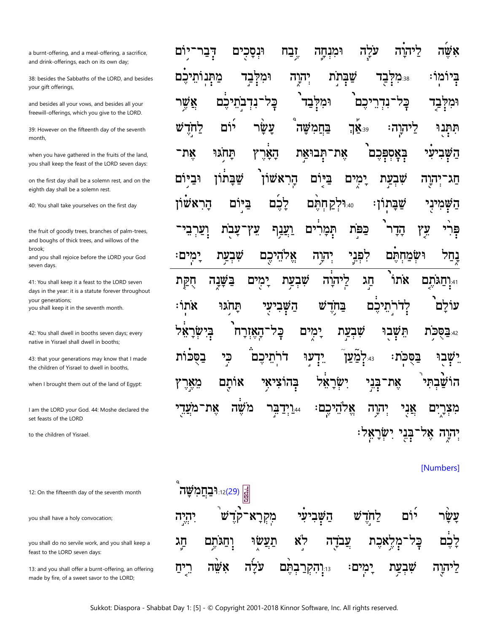a burnt-offering, and a meal-offering, a sacrifice, and drink-offerings, each on its own day;

38: besides the Sabbaths of the LORD, and besides your gift offerings,

and besides all your vows, and besides all your freewill-offerings, which you give to the LORD.

39: However on the fifteenth day of the seventh month.

when you have gathered in the fruits of the land, you shall keep the feast of the LORD seven days:

on the first day shall be a solemn rest, and on the eighth day shall be a solemn rest.

40: You shall take yourselves on the first day

the fruit of goodly trees, branches of palm-trees, and boughs of thick trees, and willows of the brook;

and you shall rejoice before the LORD your God seven days.

41: You shall keep it a feast to the LORD seven days in the year: it is a statute forever throughout your generations; you shall keep it in the seventh month.

42: You shall dwell in booths seven days; every native in Yisrael shall dwell in booths;

43: that your generations may know that I made the children of Yisrael to dwell in booths,

when I brought them out of the land of Egypt:

I am the LORD your God. 44: Moshe declared the set feasts of the LORD

to the children of Yisrael.

12: On the fifteenth day of the seventh month

you shall have a holy convocation;

you shall do no servile work, and you shall keep a feast to the LORD seven days:

13: and you shall offer a burnt-offering, an offering made by fire, of a sweet savor to the LORD;

|  |  |  | אָשֶׁה לַיהוָה עֹלָָה וּמִנְחֶה זֶבַח וּנְסָכָים דְבַר־יִוֹם                                                                     |
|--|--|--|----------------------------------------------------------------------------------------------------------------------------------|
|  |  |  | בְּיוֹמְוֹ: ﷺڪَل שַׁבְּתֵֹת יְהוֶה וּמִלְּבַד מַתְּנוֹתֵיכֶם                                                                     |
|  |  |  | וּמִלְּבַד בְּלִ־נִדְרֵיכֶם וּמִלְּבַד <sup>י</sup> בָּל־נִדְבְתֵיכֶם אֲשֶׁר                                                     |
|  |  |  | תִּתְּנֻוּ לַיהוֶהः ַצֵּךְ בַּחֲמִשָּׁה עָשָׂ <sup>ּ</sup> ר יוֹם לַחְזֶדָּשׁ                                                    |
|  |  |  | <mark>ײ</mark> ַײַרִיעִי בְּאָסְפְּכֶם אֶת־תְּבוּאַ <sub>ָ</sub> ת הָאָ֫רֶץ תָּחֹ <sup>ְגַוּ</sup> אֶת־                          |
|  |  |  | חַג־יְהוֶה שִׁבְצַת יָמְיִם בַּיּּוֹם הָרִאשׁוֹן שַׁבָּתוֹן וּבַיִּוֹם                                                           |
|  |  |  | הַשָּׁמִיּנָי שַׁבָּתְוֹן: ۩ הּוּלְקַחְתֶּם לָכֶבׁם בַּיְּוֹם הָרִאשׁוֹן                                                         |
|  |  |  | פָּרִ <sup>ּׂר</sup> צִאַ הָדָר <sup>ך</sup> כַּפּ <sup>ָ</sup> ת תְּמָרִ <sup>ׂ</sup> ים וַ <u>עֲנ</u> ָף עֵץ־עָבֻׂת וָעַרְבִי־ |
|  |  |  | בָחַל וּשְׂמַחְתֶּם לִפְגָי יְה <i>ַ</i> רָה אֱלֹהֵיכֶם שִׁבְעַת יִמְים:<br>ב                                                    |
|  |  |  |                                                                                                                                  |
|  |  |  | יּיְנַתַגֹּתֶם אֹתוֹ <sup>י</sup> חַג לִיהוֶה שִׁבְעַת יָמֻים בַּשָּׁנֶה חֻקַּת                                                  |
|  |  |  | ּעוֹלָם לְדֹרֹתֵיכֶם בַּחְדֶשׁ הַשְּׁבִיעָ <i>י</i> תָּחֹ <i>ְגוּ אֹתְ</i> וֹ                                                    |
|  |  |  | <sup>؞؞</sup> ִבּסֻּכֹּؚת תֵּשְׁבִוּ שִׁבְצַת יָמְים בְּל־הָאָזְרָח <sup>ָ</sup> בְּיִשְׂרָאֵ <sup>ּ</sup> ל                     |
|  |  |  | יֵשְׁבִלּ בַּסֻּכֹּת: ؞ּ؞ִלְמַּעַןֹ יִדְעַוּ דֹרְתֵיכֶם כִּי בַסֻּכֹּוֹת                                                         |
|  |  |  | הוֹשַּׁבְתִּי אֶת־בְּנֵי יִשְׂרָאֵ <b>ּׂל בְּהוֹצִיאָי אוֹתָם מֵאֶרֶץ</b>                                                        |
|  |  |  | מִצְרֶיִם אֲנָי יְהוָה אֱלֹהֵיכֶם: <u>44וֹיְד</u> ַבְּר מֹשֶׂה אֶת־מֹעֲדֵי                                                       |

[Numbers]